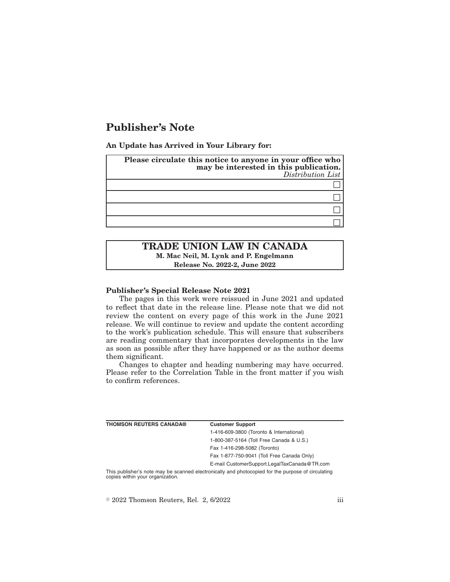# **Publisher's Note**

**An Update has Arrived in Your Library for:**

| Please circulate this notice to anyone in your office who may be interested in this publication.<br>Distribution List |
|-----------------------------------------------------------------------------------------------------------------------|
|                                                                                                                       |
|                                                                                                                       |
|                                                                                                                       |
|                                                                                                                       |

# **TRADE UNION LAW IN CANADA M. Mac Neil, M. Lynk and P. Engelmann Release No. 2022-2, June 2022**

#### **Publisher's Special Release Note 2021**

The pages in this work were reissued in June 2021 and updated to reflect that date in the release line. Please note that we did not review the content on every page of this work in the June 2021 release. We will continue to review and update the content according to the work's publication schedule. This will ensure that subscribers are reading commentary that incorporates developments in the law as soon as possible after they have happened or as the author deems them significant.

Changes to chapter and heading numbering may have occurred. Please refer to the Correlation Table in the front matter if you wish to confirm references.

| <b>THOMSON REUTERS CANADA®</b>   | <b>Customer Support</b>                                                                            |
|----------------------------------|----------------------------------------------------------------------------------------------------|
|                                  | 1-416-609-3800 (Toronto & International)                                                           |
|                                  | 1-800-387-5164 (Toll Free Canada & U.S.)                                                           |
|                                  | Fax 1-416-298-5082 (Toronto)                                                                       |
|                                  | Fax 1-877-750-9041 (Toll Free Canada Only)                                                         |
|                                  | E-mail CustomerSupport.LegalTaxCanada@TR.com                                                       |
| copies within your organization. | This publisher's note may be scanned electronically and photocopied for the purpose of circulating |

 $\degree$  2022 Thomson Reuters, Rel. 2, 6/2022 iii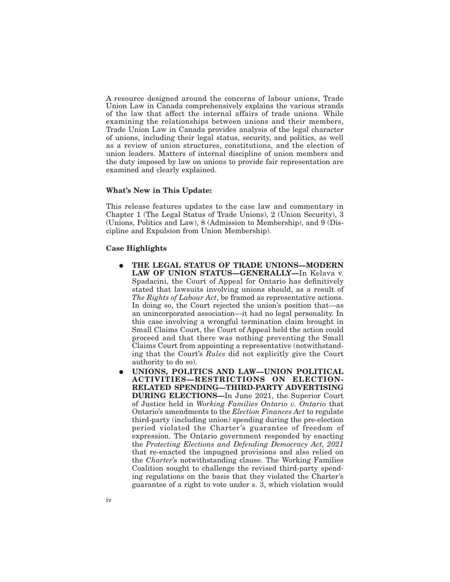A resource designed around the concerns of labour unions, Trade Union Law in Canada comprehensively explains the various strands of the law that affect the internal affairs of trade unions. While examining the relationships between unions and their members, Trade Union Law in Canada provides analysis of the legal character of unions, including their legal status, security, and politics, as well as a review of union structures, constitutions, and the election of union leaders. Matters of internal discipline of union members and the duty imposed by law on unions to provide fair representation are examined and clearly explained.

### **What's New in This Update:**

This release features updates to the case law and commentary in Chapter 1 (The Legal Status of Trade Unions), 2 (Union Security), 3 (Unions, Politics and Law), 8 (Admission to Membership), and 9 (Discipline and Expulsion from Union Membership).

#### **Case Highlights**

- **THE LEGAL STATUS OF TRADE UNIONS-MODERN LAW OF UNION STATUS—GENERALLY—**In Kelava v. Spadacini, the Court of Appeal for Ontario has definitively stated that lawsuits involving unions should, as a result of *The Rights of Labour Act*, be framed as representative actions. In doing so, the Court rejected the union's position that—as an unincorporated association—it had no legal personality. In this case involving a wrongful termination claim brought in Small Claims Court, the Court of Appeal held the action could proceed and that there was nothing preventing the Small Claims Court from appointing a representative (notwithstanding that the Court's *Rules* did not explicitly give the Court authority to do so).
- E **UNIONS, POLITICS AND LAW—UNION POLITICAL ACTIVITIES—RESTRICTIONS ON ELECTION-RELATED SPENDING—THIRD-PARTY ADVERTISING DURING ELECTIONS—**In June 2021, the Superior Court of Justice held in *Working Families Ontario v. Ontario* that Ontario's amendments to the *Election Finances Act* to regulate third-party (including union) spending during the pre-election period violated the Charter's guarantee of freedom of expression. The Ontario government responded by enacting the *Protecting Elections and Defending Democracy Act, 2021* that re-enacted the impugned provisions and also relied on the *Charter*'s notwithstanding clause. The Working Families Coalition sought to challenge the revised third-party spending regulations on the basis that they violated the Charter's guarantee of a right to vote under s. 3, which violation would